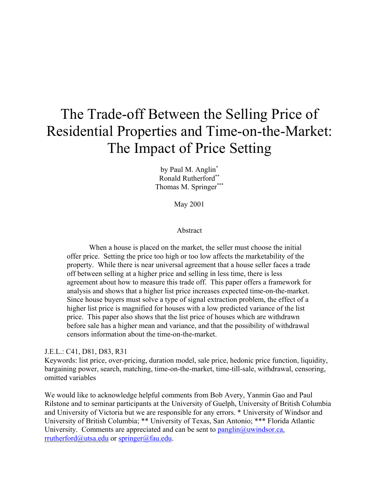# The Trade-off Between the Selling Price of Residential Properties and Time-on-the-Market: The Impact of Price Setting

by Paul M. Anglin\* Ronald Rutherford\*\* Thomas M. Springer\*\*\*

May 2001

#### Abstract

When a house is placed on the market, the seller must choose the initial offer price. Setting the price too high or too low affects the marketability of the property. While there is near universal agreement that a house seller faces a trade off between selling at a higher price and selling in less time, there is less agreement about how to measure this trade off. This paper offers a framework for analysis and shows that a higher list price increases expected time-on-the-market. Since house buyers must solve a type of signal extraction problem, the effect of a higher list price is magnified for houses with a low predicted variance of the list price. This paper also shows that the list price of houses which are withdrawn before sale has a higher mean and variance, and that the possibility of withdrawal censors information about the time-on-the-market.

#### J.E.L.: C41, D81, D83, R31

Keywords: list price, over-pricing, duration model, sale price, hedonic price function, liquidity, bargaining power, search, matching, time-on-the-market, time-till-sale, withdrawal, censoring, omitted variables

We would like to acknowledge helpful comments from Bob Avery, Yanmin Gao and Paul Rilstone and to seminar participants at the University of Guelph, University of British Columbia and University of Victoria but we are responsible for any errors. \* University of Windsor and University of British Columbia; \*\* University of Texas, San Antonio; \*\*\* Florida Atlantic University. Comments are appreciated and can be sent to  $\frac{p \cdot n}{p \cdot n}$  but  $\frac{p \cdot n}{p \cdot n}$ rrutherford@utsa.edu or springer@fau.edu.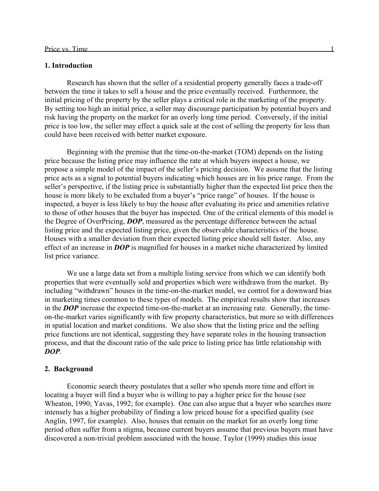#### **1. Introduction**

Research has shown that the seller of a residential property generally faces a trade-off between the time it takes to sell a house and the price eventually received. Furthermore, the initial pricing of the property by the seller plays a critical role in the marketing of the property. By setting too high an initial price, a seller may discourage participation by potential buyers and risk having the property on the market for an overly long time period. Conversely, if the initial price is too low, the seller may effect a quick sale at the cost of selling the property for less than could have been received with better market exposure.

Beginning with the premise that the time-on-the-market (TOM) depends on the listing price because the listing price may influence the rate at which buyers inspect a house, we propose a simple model of the impact of the seller's pricing decision. We assume that the listing price acts as a signal to potential buyers indicating which houses are in his price range. From the seller's perspective, if the listing price is substantially higher than the expected list price then the house is more likely to be excluded from a buyer's "price range" of houses. If the house is inspected, a buyer is less likely to buy the house after evaluating its price and amenities relative to those of other houses that the buyer has inspected. One of the critical elements of this model is the Degree of OverPricing, *DOP*, measured as the percentage difference between the actual listing price and the expected listing price, given the observable characteristics of the house. Houses with a smaller deviation from their expected listing price should sell faster. Also, any effect of an increase in *DOP* is magnified for houses in a market niche characterized by limited list price variance.

We use a large data set from a multiple listing service from which we can identify both properties that were eventually sold and properties which were withdrawn from the market. By including "withdrawn" houses in the time-on-the-market model, we control for a downward bias in marketing times common to these types of models. The empirical results show that increases in the *DOP* increase the expected time-on-the-market at an increasing rate. Generally, the timeon-the-market varies significantly with few property characteristics, but more so with differences in spatial location and market conditions. We also show that the listing price and the selling price functions are not identical, suggesting they have separate roles in the housing transaction process, and that the discount ratio of the sale price to listing price has little relationship with *DOP*.

## **2. Background**

Economic search theory postulates that a seller who spends more time and effort in locating a buyer will find a buyer who is willing to pay a higher price for the house (see Wheaton, 1990; Yavas, 1992; for example). One can also argue that a buyer who searches more intensely has a higher probability of finding a low priced house for a specified quality (see Anglin, 1997, for example). Also, houses that remain on the market for an overly long time period often suffer from a stigma, because current buyers assume that previous buyers must have discovered a non-trivial problem associated with the house. Taylor (1999) studies this issue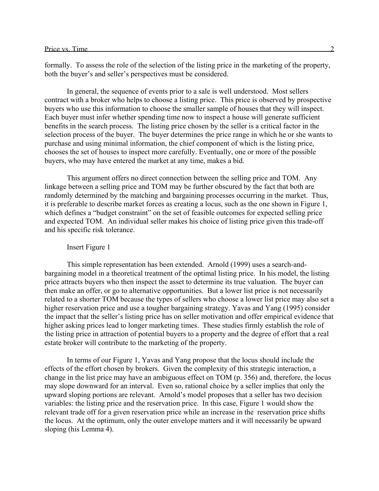formally. To assess the role of the selection of the listing price in the marketing of the property, both the buyer's and seller's perspectives must be considered.

In general, the sequence of events prior to a sale is well understood. Most sellers contract with a broker who helps to choose a listing price. This price is observed by prospective buyers who use this information to choose the smaller sample of houses that they will inspect. Each buyer must infer whether spending time now to inspect a house will generate sufficient benefits in the search process. The listing price chosen by the seller is a critical factor in the selection process of the buyer. The buyer determines the price range in which he or she wants to purchase and using minimal information, the chief component of which is the listing price, chooses the set of houses to inspect more carefully. Eventually, one or more of the possible buyers, who may have entered the market at any time, makes a bid.

This argument offers no direct connection between the selling price and TOM. Any linkage between a selling price and TOM may be further obscured by the fact that both are randomly determined by the matching and bargaining processes occurring in the market. Thus, it is preferable to describe market forces as creating a locus, such as the one shown in Figure 1, which defines a "budget constraint" on the set of feasible outcomes for expected selling price and expected TOM. An individual seller makes his choice of listing price given this trade-off and his specific risk tolerance.

#### Insert Figure 1

This simple representation has been extended. Arnold (1999) uses a search-andbargaining model in a theoretical treatment of the optimal listing price. In his model, the listing price attracts buyers who then inspect the asset to determine its true valuation. The buyer can then make an offer, or go to alternative opportunities. But a lower list price is not necessarily related to a shorter TOM because the types of sellers who choose a lower list price may also set a higher reservation price and use a tougher bargaining strategy. Yavas and Yang (1995) consider the impact that the seller's listing price has on seller motivation and offer empirical evidence that higher asking prices lead to longer marketing times. These studies firmly establish the role of the listing price in attraction of potential buyers to a property and the degree of effort that a real estate broker will contribute to the marketing of the property.

In terms of our Figure 1, Yavas and Yang propose that the locus should include the effects of the effort chosen by brokers. Given the complexity of this strategic interaction, a change in the list price may have an ambiguous effect on TOM (p. 356) and, therefore, the locus may slope downward for an interval. Even so, rational choice by a seller implies that only the upward sloping portions are relevant. Arnold's model proposes that a seller has two decision variables: the listing price and the reservation price. In this case, Figure 1 would show the relevant trade off for a given reservation price while an increase in the reservation price shifts the locus. At the optimum, only the outer envelope matters and it will necessarily be upward sloping (his Lemma 4).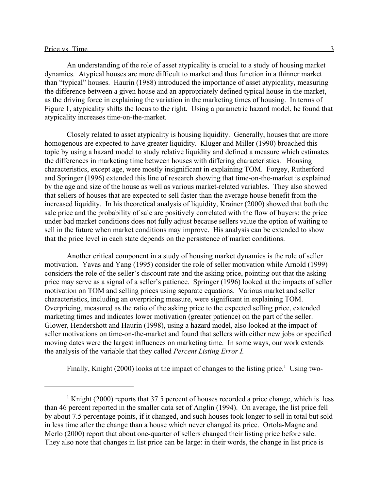An understanding of the role of asset atypicality is crucial to a study of housing market dynamics. Atypical houses are more difficult to market and thus function in a thinner market than "typical" houses. Haurin (1988) introduced the importance of asset atypicality, measuring the difference between a given house and an appropriately defined typical house in the market, as the driving force in explaining the variation in the marketing times of housing. In terms of Figure 1, atypicality shifts the locus to the right. Using a parametric hazard model, he found that atypicality increases time-on-the-market.

Closely related to asset atypicality is housing liquidity. Generally, houses that are more homogenous are expected to have greater liquidity. Kluger and Miller (1990) broached this topic by using a hazard model to study relative liquidity and defined a measure which estimates the differences in marketing time between houses with differing characteristics. Housing characteristics, except age, were mostly insignificant in explaining TOM. Forgey, Rutherford and Springer (1996) extended this line of research showing that time-on-the-market is explained by the age and size of the house as well as various market-related variables. They also showed that sellers of houses that are expected to sell faster than the average house benefit from the increased liquidity. In his theoretical analysis of liquidity, Krainer (2000) showed that both the sale price and the probability of sale are positively correlated with the flow of buyers: the price under bad market conditions does not fully adjust because sellers value the option of waiting to sell in the future when market conditions may improve. His analysis can be extended to show that the price level in each state depends on the persistence of market conditions.

Another critical component in a study of housing market dynamics is the role of seller motivation. Yavas and Yang (1995) consider the role of seller motivation while Arnold (1999) considers the role of the seller's discount rate and the asking price, pointing out that the asking price may serve as a signal of a seller's patience. Springer (1996) looked at the impacts of seller motivation on TOM and selling prices using separate equations. Various market and seller characteristics, including an overpricing measure, were significant in explaining TOM. Overpricing, measured as the ratio of the asking price to the expected selling price, extended marketing times and indicates lower motivation (greater patience) on the part of the seller. Glower, Hendershott and Haurin (1998), using a hazard model, also looked at the impact of seller motivations on time-on-the-market and found that sellers with either new jobs or specified moving dates were the largest influences on marketing time. In some ways, our work extends the analysis of the variable that they called *Percent Listing Error I.* 

Finally, Knight (2000) looks at the impact of changes to the listing price.<sup>1</sup> Using two-

<sup>&</sup>lt;sup>1</sup> Knight (2000) reports that 37.5 percent of houses recorded a price change, which is less than 46 percent reported in the smaller data set of Anglin (1994). On average, the list price fell by about 7.5 percentage points, if it changed, and such houses took longer to sell in total but sold in less time after the change than a house which never changed its price. Ortola-Magne and Merlo (2000) report that about one-quarter of sellers changed their listing price before sale. They also note that changes in list price can be large: in their words, the change in list price is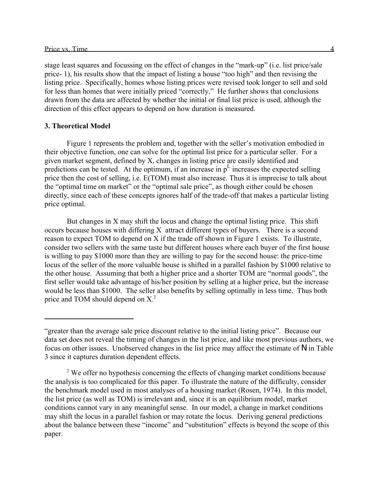stage least squares and focussing on the effect of changes in the "mark-up" (i.e. list price/sale price- 1), his results show that the impact of listing a house "too high" and then revising the listing price. Specifically, homes whose listing prices were revised took longer to sell and sold for less than homes that were initially priced "correctly." He further shows that conclusions drawn from the data are affected by whether the initial or final list price is used, although the direction of this effect appears to depend on how duration is measured.

#### **3. Theoretical Model**

Figure 1 represents the problem and, together with the seller's motivation embodied in their objective function, one can solve for the optimal list price for a particular seller. For a given market segment, defined by X, changes in listing price are easily identified and predictions can be tested. At the optimum, if an increase in  $p<sup>L</sup>$  increases the expected selling price then the cost of selling, i.e. E(TOM) must also increase. Thus it is imprecise to talk about the "optimal time on market" or the "optimal sale price", as though either could be chosen directly, since each of these concepts ignores half of the trade-off that makes a particular listing price optimal.

But changes in X may shift the locus and change the optimal listing price. This shift occurs because houses with differing X attract different types of buyers. There is a second reason to expect TOM to depend on X if the trade off shown in Figure 1 exists. To illustrate, consider two sellers with the same taste but different houses where each buyer of the first house is willing to pay \$1000 more than they are willing to pay for the second house: the price-time locus of the seller of the more valuable house is shifted in a parallel fashion by \$1000 relative to the other house. Assuming that both a higher price and a shorter TOM are "normal goods", the first seller would take advantage of his/her position by selling at a higher price, but the increase would be less than \$1000. The seller also benefits by selling optimally in less time. Thus both price and TOM should depend on  $X<sup>2</sup>$ .

<sup>&</sup>quot;greater than the average sale price discount relative to the initial listing price". Because our data set does not reveal the timing of changes in the list price, and like most previous authors, we focus on other issues. Unobserved changes in the list price may affect the estimate of N in Table 3 since it captures duration dependent effects.

<sup>&</sup>lt;sup>2</sup> We offer no hypothesis concerning the effects of changing market conditions because the analysis is too complicated for this paper. To illustrate the nature of the difficulty, consider the benchmark model used in most analyses of a housing market (Rosen, 1974). In this model, the list price (as well as TOM) is irrelevant and, since it is an equilibrium model, market conditions cannot vary in any meaningful sense. In our model, a change in market conditions may shift the locus in a parallel fashion or may rotate the locus. Deriving general predictions about the balance between these "income" and "substitution" effects is beyond the scope of this paper.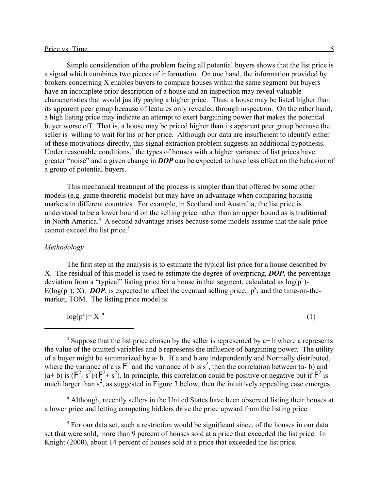Simple consideration of the problem facing all potential buyers shows that the list price is a signal which combines two pieces of information. On one hand, the information provided by brokers concerning X enables buyers to compare houses within the same segment but buyers have an incomplete prior description of a house and an inspection may reveal valuable characteristics that would justify paying a higher price. Thus, a house may be listed higher than its apparent peer group because of features only revealed through inspection. On the other hand, a high listing price may indicate an attempt to exert bargaining power that makes the potential buyer worse off. That is, a house may be priced higher than its apparent peer group because the seller is willing to wait for his or her price. Although our data are insufficient to identify either of these motivations directly, this signal extraction problem suggests an additional hypothesis. Under reasonable conditions,<sup>3</sup> the types of houses with a higher variance of list prices have greater "noise" and a given change in *DOP* can be expected to have less effect on the behavior of a group of potential buyers.

This mechanical treatment of the process is simpler than that offered by some other models (e.g. game theoretic models) but may have an advantage when comparing housing markets in different countries. For example, in Scotland and Australia, the list price is understood to be a lower bound on the selling price rather than an upper bound as is traditional in North America.<sup>4</sup> A second advantage arises because some models assume that the sale price cannot exceed the list price.<sup>5</sup>

#### *Methodology*

The first step in the analysis is to estimate the typical list price for a house described by X. The residual of this model is used to estimate the degree of overpricng, *DOP*, the percentage deviation from a "typical" listing price for a house in that segment, calculated as  $log(p<sup>L</sup>)$ - $E(log(p^L); X)$ . **DOP**, is expected to affect the eventual selling price,  $p^S$ , and the time-on-themarket, TOM. The listing price model is:

$$
\log(p^L) = X'' \tag{1}
$$

<sup>3</sup> Suppose that the list price chosen by the seller is represented by  $a + b$  where a represents the value of the omitted variables and b represents the influence of bargaining power. The utility of a buyer might be summarized by a- b. If a and b are independently and Normally distributed, where the variance of a is  $F^2$  and the variance of b is  $s^2$ , then the correlation between (a- b) and (a+ b) is  $(F^2 - s^2)/(F^2 + s^2)$ . In principle, this correlation could be positive or negative but if  $F^2$  is much larger than  $s^2$ , as suggested in Figure 3 below, then the intuitively appealing case emerges.

<sup>4</sup> Although, recently sellers in the United States have been observed listing their houses at a lower price and letting competing bidders drive the price upward from the listing price.

<sup>5</sup> For our data set, such a restriction would be significant since, of the houses in our data set that were sold, more than 9 percent of houses sold at a price that exceeded the list price. In Knight (2000), about 14 percent of houses sold at a price that exceeded the list price.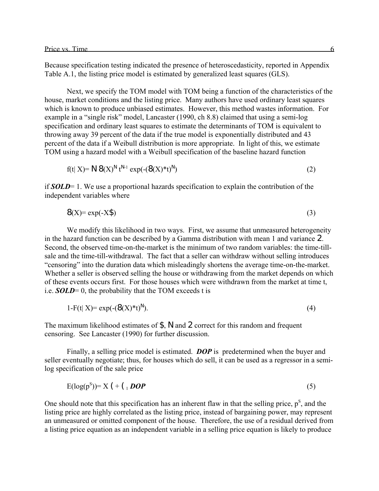Because specification testing indicated the presence of heteroscedasticity, reported in Appendix Table A.1, the listing price model is estimated by generalized least squares (GLS).

Next, we specify the TOM model with TOM being a function of the characteristics of the house, market conditions and the listing price. Many authors have used ordinary least squares which is known to produce unbiased estimates. However, this method wastes information. For example in a "single risk" model, Lancaster (1990, ch 8.8) claimed that using a semi-log specification and ordinary least squares to estimate the determinants of TOM is equivalent to throwing away 39 percent of the data if the true model is exponentially distributed and 43 percent of the data if a Weibull distribution is more appropriate. In light of this, we estimate TOM using a hazard model with a Weibull specification of the baseline hazard function

$$
f(t|X) = N \cdot 8(X)^{N} t^{N-1} \cdot \exp(-(8(X)^{*}t)^{N})
$$
\n(2)

if *SOLD*= 1. We use a proportional hazards specification to explain the contribution of the independent variables where

$$
\mathcal{B}(X) = \exp(-X\mathcal{S})\tag{3}
$$

We modify this likelihood in two ways. First, we assume that unmeasured heterogeneity in the hazard function can be described by a Gamma distribution with mean 1 and variance 2. Second, the observed time-on-the-market is the minimum of two random variables: the time-tillsale and the time-till-withdrawal. The fact that a seller can withdraw without selling introduces "censoring" into the duration data which misleadingly shortens the average time-on-the-market. Whether a seller is observed selling the house or withdrawing from the market depends on which of these events occurs first. For those houses which were withdrawn from the market at time t, i.e. *SOLD*= 0, the probability that the TOM exceeds t is

$$
1-F(t|X)=\exp(-(\mathcal{B}(X)^*t)^N).
$$
\n
$$
(4)
$$

The maximum likelihood estimates of \$, N and 2 correct for this random and frequent censoring. See Lancaster (1990) for further discussion.

Finally, a selling price model is estimated. *DOP* is predetermined when the buyer and seller eventually negotiate; thus, for houses which do sell, it can be used as a regressor in a semilog specification of the sale price

$$
E(\log(p^s))=X\left(+\left(\begin{array}{c}1\text{ }DOP\end{array}\right)\right)
$$
 (5)

One should note that this specification has an inherent flaw in that the selling price,  $p^s$ , and the listing price are highly correlated as the listing price, instead of bargaining power, may represent an unmeasured or omitted component of the house. Therefore, the use of a residual derived from a listing price equation as an independent variable in a selling price equation is likely to produce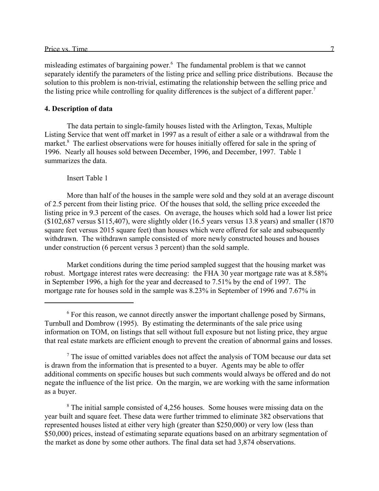misleading estimates of bargaining power.<sup>6</sup> The fundamental problem is that we cannot separately identify the parameters of the listing price and selling price distributions. Because the solution to this problem is non-trivial, estimating the relationship between the selling price and the listing price while controlling for quality differences is the subject of a different paper.<sup>7</sup>

#### **4. Description of data**

The data pertain to single-family houses listed with the Arlington, Texas, Multiple Listing Service that went off market in 1997 as a result of either a sale or a withdrawal from the market.<sup>8</sup> The earliest observations were for houses initially offered for sale in the spring of 1996. Nearly all houses sold between December, 1996, and December, 1997. Table 1 summarizes the data.

#### Insert Table 1

More than half of the houses in the sample were sold and they sold at an average discount of 2.5 percent from their listing price. Of the houses that sold, the selling price exceeded the listing price in 9.3 percent of the cases. On average, the houses which sold had a lower list price (\$102,687 versus \$115,407), were slightly older (16.5 years versus 13.8 years) and smaller (1870 square feet versus 2015 square feet) than houses which were offered for sale and subsequently withdrawn. The withdrawn sample consisted of more newly constructed houses and houses under construction (6 percent versus 3 percent) than the sold sample.

Market conditions during the time period sampled suggest that the housing market was robust. Mortgage interest rates were decreasing: the FHA 30 year mortgage rate was at 8.58% in September 1996, a high for the year and decreased to 7.51% by the end of 1997. The mortgage rate for houses sold in the sample was 8.23% in September of 1996 and 7.67% in

<sup>&</sup>lt;sup>6</sup> For this reason, we cannot directly answer the important challenge posed by Sirmans, Turnbull and Dombrow (1995). By estimating the determinants of the sale price using information on TOM, on listings that sell without full exposure but not listing price, they argue that real estate markets are efficient enough to prevent the creation of abnormal gains and losses.

 $<sup>7</sup>$  The issue of omitted variables does not affect the analysis of TOM because our data set</sup> is drawn from the information that is presented to a buyer. Agents may be able to offer additional comments on specific houses but such comments would always be offered and do not negate the influence of the list price. On the margin, we are working with the same information as a buyer.

<sup>&</sup>lt;sup>8</sup> The initial sample consisted of 4,256 houses. Some houses were missing data on the year built and square feet. These data were further trimmed to eliminate 382 observations that represented houses listed at either very high (greater than \$250,000) or very low (less than \$50,000) prices, instead of estimating separate equations based on an arbitrary segmentation of the market as done by some other authors. The final data set had 3,874 observations.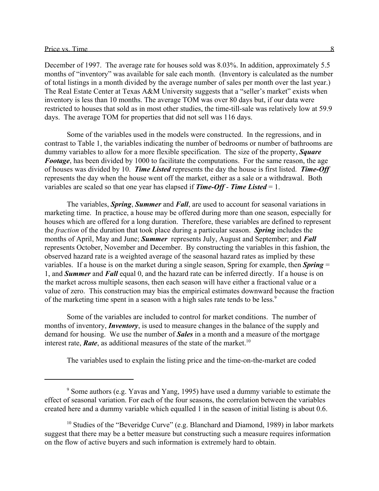December of 1997. The average rate for houses sold was 8.03%. In addition, approximately 5.5 months of "inventory" was available for sale each month. (Inventory is calculated as the number of total listings in a month divided by the average number of sales per month over the last year.) The Real Estate Center at Texas A&M University suggests that a "seller's market" exists when inventory is less than 10 months. The average TOM was over 80 days but, if our data were restricted to houses that sold as in most other studies, the time-till-sale was relatively low at 59.9 days. The average TOM for properties that did not sell was 116 days.

Some of the variables used in the models were constructed. In the regressions, and in contrast to Table 1, the variables indicating the number of bedrooms or number of bathrooms are dummy variables to allow for a more flexible specification. The size of the property, *Square Footage*, has been divided by 1000 to facilitate the computations. For the same reason, the age of houses was divided by 10. *Time Listed* represents the day the house is first listed. *Time-Off* represents the day when the house went off the market, either as a sale or a withdrawal. Both variables are scaled so that one year has elapsed if *Time-Off* - *Time Listed* = 1.

The variables, *Spring*, *Summer* and *Fall*, are used to account for seasonal variations in marketing time. In practice, a house may be offered during more than one season, especially for houses which are offered for a long duration. Therefore, these variables are defined to represent the *fraction* of the duration that took place during a particular season. *Spring* includes the months of April, May and June; *Summer* represents July, August and September; and *Fall* represents October, November and December. By constructing the variables in this fashion, the observed hazard rate is a weighted average of the seasonal hazard rates as implied by these variables. If a house is on the market during a single season, Spring for example, then *Spring* = 1, and *Summer* and *Fall* equal 0, and the hazard rate can be inferred directly. If a house is on the market across multiple seasons, then each season will have either a fractional value or a value of zero. This construction may bias the empirical estimates downward because the fraction of the marketing time spent in a season with a high sales rate tends to be less.<sup>9</sup>

Some of the variables are included to control for market conditions. The number of months of inventory, *Inventory*, is used to measure changes in the balance of the supply and demand for housing. We use the number of *Sales* in a month and a measure of the mortgage interest rate, *Rate*, as additional measures of the state of the market.<sup>10</sup>

The variables used to explain the listing price and the time-on-the-market are coded

<sup>&</sup>lt;sup>9</sup> Some authors (e.g. Yavas and Yang, 1995) have used a dummy variable to estimate the effect of seasonal variation. For each of the four seasons, the correlation between the variables created here and a dummy variable which equalled 1 in the season of initial listing is about 0.6.

<sup>&</sup>lt;sup>10</sup> Studies of the "Beveridge Curve" (e.g. Blanchard and Diamond, 1989) in labor markets suggest that there may be a better measure but constructing such a measure requires information on the flow of active buyers and such information is extremely hard to obtain.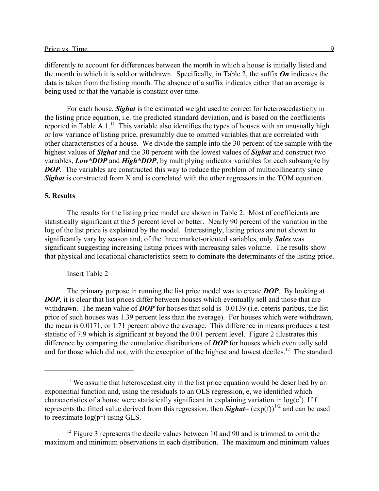differently to account for differences between the month in which a house is initially listed and the month in which it is sold or withdrawn. Specifically, in Table 2, the suffix *On* indicates the data is taken from the listing month. The absence of a suffix indicates either that an average is being used or that the variable is constant over time.

For each house, *Sighat* is the estimated weight used to correct for heteroscedasticity in the listing price equation, i.e. the predicted standard deviation, and is based on the coefficients reported in Table A.1. $<sup>11</sup>$  This variable also identifies the types of houses with an unusually high</sup> or low variance of listing price, presumably due to omitted variables that are correlated with other characteristics of a house. We divide the sample into the 30 percent of the sample with the highest values of *Sighat* and the 30 percent with the lowest values of *Sighat* and construct two variables, *Low\*DOP* and *High\*DOP*, by multiplying indicator variables for each subsample by *DOP*. The variables are constructed this way to reduce the problem of multicollinearity since *Sighat* is constructed from X and is correlated with the other regressors in the TOM equation.

#### **5. Results**

The results for the listing price model are shown in Table 2. Most of coefficients are statistically significant at the 5 percent level or better. Nearly 90 percent of the variation in the log of the list price is explained by the model. Interestingly, listing prices are not shown to significantly vary by season and, of the three market-oriented variables, only *Sales* was significant suggesting increasing listing prices with increasing sales volume. The results show that physical and locational characteristics seem to dominate the determinants of the listing price.

#### Insert Table 2

The primary purpose in running the list price model was to create *DOP*. By looking at *DOP*, it is clear that list prices differ between houses which eventually sell and those that are withdrawn. The mean value of **DOP** for houses that sold is -0.0139 (i.e. ceteris paribus, the list price of such houses was 1.39 percent less than the average). For houses which were withdrawn, the mean is 0.0171, or 1.71 percent above the average. This difference in means produces a test statistic of 7.9 which is significant at beyond the 0.01 percent level. Figure 2 illustrates this difference by comparing the cumulative distributions of *DOP* for houses which eventually sold and for those which did not, with the exception of the highest and lowest deciles.<sup>12</sup> The standard

 $11$  We assume that heteroscedasticity in the list price equation would be described by an exponential function and, using the residuals to an OLS regression, e, we identified which characteristics of a house were statistically significant in explaining variation in  $log(e^2)$ . If f represents the fitted value derived from this regression, then **Sighat**=  $(\exp(f))^{1/2}$  and can be used to reestimate  $log(p^L)$  using GLS.

<sup>&</sup>lt;sup>12</sup> Figure 3 represents the decile values between 10 and 90 and is trimmed to omit the maximum and minimum observations in each distribution. The maximum and minimum values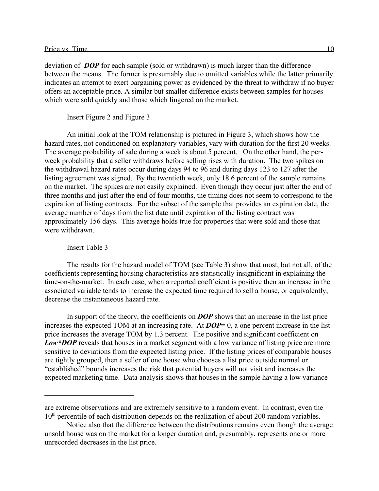deviation of **DOP** for each sample (sold or withdrawn) is much larger than the difference between the means. The former is presumably due to omitted variables while the latter primarily indicates an attempt to exert bargaining power as evidenced by the threat to withdraw if no buyer offers an acceptable price. A similar but smaller difference exists between samples for houses which were sold quickly and those which lingered on the market.

Insert Figure 2 and Figure 3

An initial look at the TOM relationship is pictured in Figure 3, which shows how the hazard rates, not conditioned on explanatory variables, vary with duration for the first 20 weeks. The average probability of sale during a week is about 5 percent. On the other hand, the perweek probability that a seller withdraws before selling rises with duration. The two spikes on the withdrawal hazard rates occur during days 94 to 96 and during days 123 to 127 after the listing agreement was signed. By the twentieth week, only 18.6 percent of the sample remains on the market. The spikes are not easily explained. Even though they occur just after the end of three months and just after the end of four months, the timing does not seem to correspond to the expiration of listing contracts. For the subset of the sample that provides an expiration date, the average number of days from the list date until expiration of the listing contract was approximately 156 days. This average holds true for properties that were sold and those that were withdrawn.

#### Insert Table 3

The results for the hazard model of TOM (see Table 3) show that most, but not all, of the coefficients representing housing characteristics are statistically insignificant in explaining the time-on-the-market. In each case, when a reported coefficient is positive then an increase in the associated variable tends to increase the expected time required to sell a house, or equivalently, decrease the instantaneous hazard rate.

In support of the theory, the coefficients on *DOP* shows that an increase in the list price increases the expected TOM at an increasing rate. At *DOP*= 0, a one percent increase in the list price increases the average TOM by 1.3 percent. The positive and significant coefficient on *Low\*DOP* reveals that houses in a market segment with a low variance of listing price are more sensitive to deviations from the expected listing price. If the listing prices of comparable houses are tightly grouped, then a seller of one house who chooses a list price outside normal or "established" bounds increases the risk that potential buyers will not visit and increases the expected marketing time. Data analysis shows that houses in the sample having a low variance

are extreme observations and are extremely sensitive to a random event. In contrast, even the  $10<sup>th</sup>$  percentile of each distribution depends on the realization of about 200 random variables.

Notice also that the difference between the distributions remains even though the average unsold house was on the market for a longer duration and, presumably, represents one or more unrecorded decreases in the list price.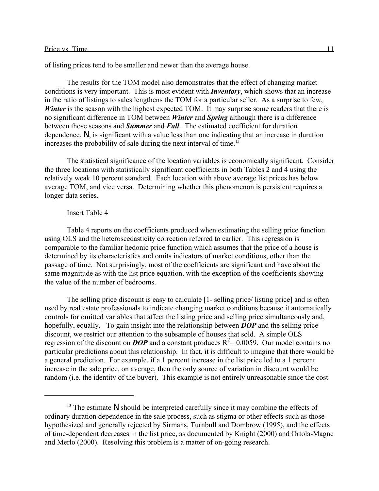of listing prices tend to be smaller and newer than the average house.

The results for the TOM model also demonstrates that the effect of changing market conditions is very important. This is most evident with *Inventory*, which shows that an increase in the ratio of listings to sales lengthens the TOM for a particular seller. As a surprise to few, *Winter* is the season with the highest expected TOM. It may surprise some readers that there is no significant difference in TOM between *Winter* and *Spring* although there is a difference between those seasons and *Summer* and *Fall*. The estimated coefficient for duration dependence, N, is significant with a value less than one indicating that an increase in duration increases the probability of sale during the next interval of time.<sup>13</sup>

The statistical significance of the location variables is economically significant. Consider the three locations with statistically significant coefficients in both Tables 2 and 4 using the relatively weak 10 percent standard. Each location with above average list prices has below average TOM, and vice versa. Determining whether this phenomenon is persistent requires a longer data series.

#### Insert Table 4

Table 4 reports on the coefficients produced when estimating the selling price function using OLS and the heteroscedasticity correction referred to earlier. This regression is comparable to the familiar hedonic price function which assumes that the price of a house is determined by its characteristics and omits indicators of market conditions, other than the passage of time. Not surprisingly, most of the coefficients are significant and have about the same magnitude as with the list price equation, with the exception of the coefficients showing the value of the number of bedrooms.

The selling price discount is easy to calculate [1- selling price/ listing price] and is often used by real estate professionals to indicate changing market conditions because it automatically controls for omitted variables that affect the listing price and selling price simultaneously and, hopefully, equally. To gain insight into the relationship between *DOP* and the selling price discount, we restrict our attention to the subsample of houses that sold. A simple OLS regression of the discount on **DOP** and a constant produces  $R^2 = 0.0059$ . Our model contains no particular predictions about this relationship. In fact, it is difficult to imagine that there would be a general prediction. For example, if a 1 percent increase in the list price led to a 1 percent increase in the sale price, on average, then the only source of variation in discount would be random (i.e. the identity of the buyer). This example is not entirely unreasonable since the cost

<sup>&</sup>lt;sup>13</sup> The estimate N should be interpreted carefully since it may combine the effects of ordinary duration dependence in the sale process, such as stigma or other effects such as those hypothesized and generally rejected by Sirmans, Turnbull and Dombrow (1995), and the effects of time-dependent decreases in the list price, as documented by Knight (2000) and Ortola-Magne and Merlo (2000). Resolving this problem is a matter of on-going research.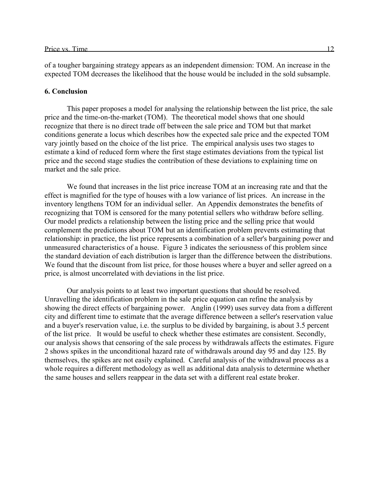of a tougher bargaining strategy appears as an independent dimension: TOM. An increase in the expected TOM decreases the likelihood that the house would be included in the sold subsample.

#### **6. Conclusion**

This paper proposes a model for analysing the relationship between the list price, the sale price and the time-on-the-market (TOM). The theoretical model shows that one should recognize that there is no direct trade off between the sale price and TOM but that market conditions generate a locus which describes how the expected sale price and the expected TOM vary jointly based on the choice of the list price. The empirical analysis uses two stages to estimate a kind of reduced form where the first stage estimates deviations from the typical list price and the second stage studies the contribution of these deviations to explaining time on market and the sale price.

We found that increases in the list price increase TOM at an increasing rate and that the effect is magnified for the type of houses with a low variance of list prices. An increase in the inventory lengthens TOM for an individual seller. An Appendix demonstrates the benefits of recognizing that TOM is censored for the many potential sellers who withdraw before selling. Our model predicts a relationship between the listing price and the selling price that would complement the predictions about TOM but an identification problem prevents estimating that relationship: in practice, the list price represents a combination of a seller's bargaining power and unmeasured characteristics of a house. Figure 3 indicates the seriousness of this problem since the standard deviation of each distribution is larger than the difference between the distributions. We found that the discount from list price, for those houses where a buyer and seller agreed on a price, is almost uncorrelated with deviations in the list price.

Our analysis points to at least two important questions that should be resolved. Unravelling the identification problem in the sale price equation can refine the analysis by showing the direct effects of bargaining power. Anglin (1999) uses survey data from a different city and different time to estimate that the average difference between a seller's reservation value and a buyer's reservation value, i.e. the surplus to be divided by bargaining, is about 3.5 percent of the list price. It would be useful to check whether these estimates are consistent. Secondly, our analysis shows that censoring of the sale process by withdrawals affects the estimates. Figure 2 shows spikes in the unconditional hazard rate of withdrawals around day 95 and day 125. By themselves, the spikes are not easily explained. Careful analysis of the withdrawal process as a whole requires a different methodology as well as additional data analysis to determine whether the same houses and sellers reappear in the data set with a different real estate broker.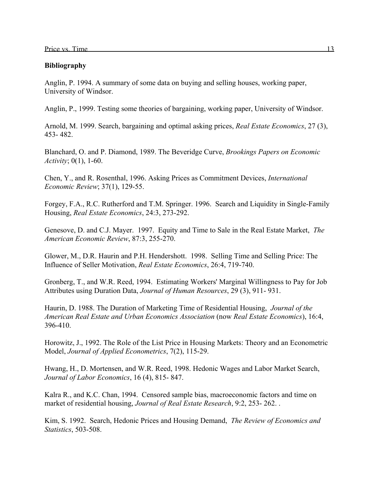# **Bibliography**

Anglin, P. 1994. A summary of some data on buying and selling houses, working paper, University of Windsor.

Anglin, P., 1999. Testing some theories of bargaining, working paper, University of Windsor.

Arnold, M. 1999. Search, bargaining and optimal asking prices, *Real Estate Economics*, 27 (3), 453- 482.

Blanchard, O. and P. Diamond, 1989. The Beveridge Curve, *Brookings Papers on Economic Activity*; 0(1), 1-60.

Chen, Y., and R. Rosenthal, 1996. Asking Prices as Commitment Devices, *International Economic Review*; 37(1), 129-55.

Forgey, F.A., R.C. Rutherford and T.M. Springer. 1996. Search and Liquidity in Single-Family Housing, *Real Estate Economics*, 24:3, 273-292.

Genesove, D. and C.J. Mayer. 1997. Equity and Time to Sale in the Real Estate Market, *The American Economic Review*, 87:3, 255-270.

Glower, M., D.R. Haurin and P.H. Hendershott. 1998. Selling Time and Selling Price: The Influence of Seller Motivation, *Real Estate Economics*, 26:4, 719-740.

Gronberg, T., and W.R. Reed, 1994. Estimating Workers' Marginal Willingness to Pay for Job Attributes using Duration Data, *Journal of Human Resources*, 29 (3), 911- 931.

Haurin, D. 1988. The Duration of Marketing Time of Residential Housing, *Journal of the American Real Estate and Urban Economics Association* (now *Real Estate Economics*), 16:4, 396-410.

Horowitz, J., 1992. The Role of the List Price in Housing Markets: Theory and an Econometric Model, *Journal of Applied Econometrics*, 7(2), 115-29.

Hwang, H., D. Mortensen, and W.R. Reed, 1998. Hedonic Wages and Labor Market Search, *Journal of Labor Economics*, 16 (4), 815- 847.

Kalra R., and K.C. Chan, 1994. Censored sample bias, macroeconomic factors and time on market of residential housing, *Journal of Real Estate Research*, 9:2, 253- 262. .

Kim, S. 1992. Search, Hedonic Prices and Housing Demand, *The Review of Economics and Statistics*, 503-508.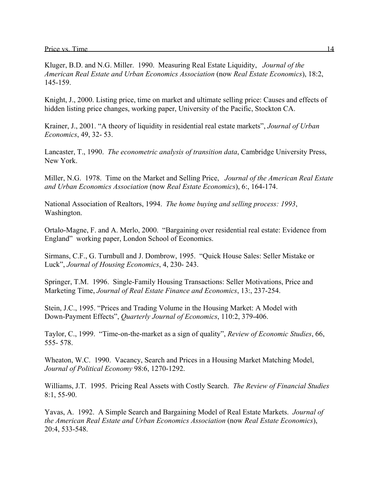Kluger, B.D. and N.G. Miller. 1990. Measuring Real Estate Liquidity, *Journal of the American Real Estate and Urban Economics Association* (now *Real Estate Economics*), 18:2, 145-159.

Knight, J., 2000. Listing price, time on market and ultimate selling price: Causes and effects of hidden listing price changes, working paper, University of the Pacific, Stockton CA.

Krainer, J., 2001. "A theory of liquidity in residential real estate markets", *Journal of Urban Economics*, 49, 32- 53.

Lancaster, T., 1990. *The econometric analysis of transition data*, Cambridge University Press, New York.

Miller, N.G. 1978. Time on the Market and Selling Price, *Journal of the American Real Estate and Urban Economics Association* (now *Real Estate Economics*), 6:, 164-174.

National Association of Realtors, 1994. *The home buying and selling process: 1993*, Washington.

Ortalo-Magne, F. and A. Merlo, 2000. "Bargaining over residential real estate: Evidence from England" working paper, London School of Economics.

Sirmans, C.F., G. Turnbull and J. Dombrow, 1995. "Quick House Sales: Seller Mistake or Luck", *Journal of Housing Economics*, 4, 230- 243.

Springer, T.M. 1996. Single-Family Housing Transactions: Seller Motivations, Price and Marketing Time, *Journal of Real Estate Finance and Economics*, 13:, 237-254.

Stein, J.C., 1995. "Prices and Trading Volume in the Housing Market: A Model with Down-Payment Effects", *Quarterly Journal of Economics*, 110:2, 379-406.

Taylor, C., 1999. "Time-on-the-market as a sign of quality", *Review of Economic Studies*, 66, 555- 578.

Wheaton, W.C. 1990. Vacancy, Search and Prices in a Housing Market Matching Model, *Journal of Political Economy* 98:6, 1270-1292.

Williams, J.T. 1995. Pricing Real Assets with Costly Search. *The Review of Financial Studies* 8:1, 55-90.

Yavas, A. 1992. A Simple Search and Bargaining Model of Real Estate Markets. *Journal of the American Real Estate and Urban Economics Association* (now *Real Estate Economics*), 20:4, 533-548.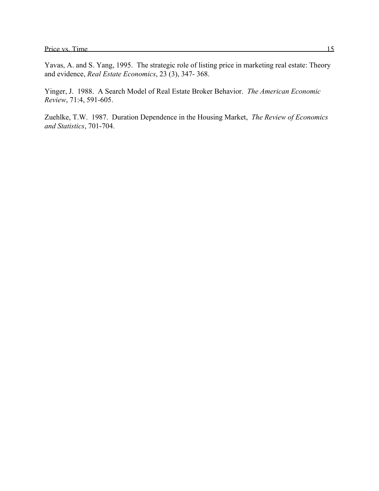Yavas, A. and S. Yang, 1995. The strategic role of listing price in marketing real estate: Theory and evidence, *Real Estate Economics*, 23 (3), 347- 368.

Yinger, J. 1988. A Search Model of Real Estate Broker Behavior. *The American Economic Review*, 71:4, 591-605.

Zuehlke, T.W. 1987. Duration Dependence in the Housing Market, *The Review of Economics and Statistics*, 701-704.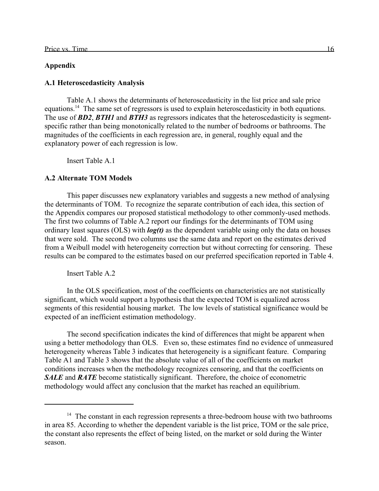#### **Appendix**

#### **A.1 Heteroscedasticity Analysis**

Table A.1 shows the determinants of heteroscedasticity in the list price and sale price equations.14 The same set of regressors is used to explain heteroscedasticity in both equations. The use of *BD2*, *BTH1* and *BTH3* as regressors indicates that the heteroscedasticity is segmentspecific rather than being monotonically related to the number of bedrooms or bathrooms. The magnitudes of the coefficients in each regression are, in general, roughly equal and the explanatory power of each regression is low.

Insert Table A.1

# **A.2 Alternate TOM Models**

This paper discusses new explanatory variables and suggests a new method of analysing the determinants of TOM. To recognize the separate contribution of each idea, this section of the Appendix compares our proposed statistical methodology to other commonly-used methods. The first two columns of Table A.2 report our findings for the determinants of TOM using ordinary least squares (OLS) with *log(t)* as the dependent variable using only the data on houses that were sold. The second two columns use the same data and report on the estimates derived from a Weibull model with heterogeneity correction but without correcting for censoring. These results can be compared to the estimates based on our preferred specification reported in Table 4.

Insert Table A.2

In the OLS specification, most of the coefficients on characteristics are not statistically significant, which would support a hypothesis that the expected TOM is equalized across segments of this residential housing market. The low levels of statistical significance would be expected of an inefficient estimation methodology.

The second specification indicates the kind of differences that might be apparent when using a better methodology than OLS. Even so, these estimates find no evidence of unmeasured heterogeneity whereas Table 3 indicates that heterogeneity is a significant feature. Comparing Table A1 and Table 3 shows that the absolute value of all of the coefficients on market conditions increases when the methodology recognizes censoring, and that the coefficients on **SALE** and **RATE** become statistically significant. Therefore, the choice of econometric methodology would affect any conclusion that the market has reached an equilibrium.

<sup>&</sup>lt;sup>14</sup> The constant in each regression represents a three-bedroom house with two bathrooms in area 85. According to whether the dependent variable is the list price, TOM or the sale price, the constant also represents the effect of being listed, on the market or sold during the Winter season.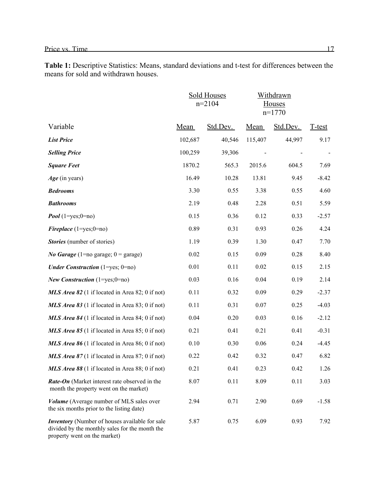**Table 1:** Descriptive Statistics: Means, standard deviations and t-test for differences between the means for sold and withdrawn houses.

|                                                                                                         |             | <b>Sold Houses</b><br>$n=2104$ | Withdrawn<br><b>Houses</b><br>$n=1770$ |          |         |  |
|---------------------------------------------------------------------------------------------------------|-------------|--------------------------------|----------------------------------------|----------|---------|--|
| Variable                                                                                                | <b>Mean</b> | Std.Dev.                       | <u>Mean</u>                            | Std.Dev. | T-test  |  |
| <b>List Price</b>                                                                                       | 102,687     | 40,546                         | 115,407                                | 44,997   | 9.17    |  |
| <b>Selling Price</b>                                                                                    | 100,259     | 39,306                         |                                        |          |         |  |
| <b>Square Feet</b>                                                                                      | 1870.2      | 565.3                          | 2015.6                                 | 604.5    | 7.69    |  |
| $Age$ (in years)                                                                                        | 16.49       | 10.28                          | 13.81                                  | 9.45     | $-8.42$ |  |
| <b>Bedrooms</b>                                                                                         | 3.30        | 0.55                           | 3.38                                   | 0.55     | 4.60    |  |
| <b>Bathrooms</b>                                                                                        | 2.19        | 0.48                           | 2.28                                   | 0.51     | 5.59    |  |
| <i>Pool</i> (1=yes; $0=no$ )                                                                            | 0.15        | 0.36                           | 0.12                                   | 0.33     | $-2.57$ |  |
| Fireplace (1=yes;0=no)                                                                                  | 0.89        | 0.31                           | 0.93                                   | 0.26     | 4.24    |  |
| <b>Stories</b> (number of stories)                                                                      | 1.19        | 0.39                           | 1.30                                   | 0.47     | 7.70    |  |
| <i>No Garage</i> (1=no garage; $0 = \text{garge}$ )                                                     | 0.02        | 0.15                           | 0.09                                   | 0.28     | 8.40    |  |
| <b>Under Construction</b> $(1 = yes; 0 = no)$                                                           | $0.01\,$    | 0.11                           | 0.02                                   | 0.15     | 2.15    |  |
| New Construction $(1 = yes; 0 = no)$                                                                    | 0.03        | 0.16                           | 0.04                                   | 0.19     | 2.14    |  |
| MLS Area 82 (1 if located in Area 82; 0 if not)                                                         | 0.11        | 0.32                           | 0.09                                   | 0.29     | $-2.37$ |  |
| MLS Area 83 (1 if located in Area 83; 0 if not)                                                         | 0.11        | 0.31                           | 0.07                                   | 0.25     | $-4.03$ |  |
| MLS Area 84 (1 if located in Area 84; 0 if not)                                                         | 0.04        | 0.20                           | 0.03                                   | 0.16     | $-2.12$ |  |
| MLS Area 85 (1 if located in Area 85; 0 if not)                                                         | 0.21        | 0.41                           | 0.21                                   | 0.41     | $-0.31$ |  |
| MLS Area 86 (1 if located in Area 86; 0 if not)                                                         | 0.10        | 0.30                           | 0.06                                   | 0.24     | $-4.45$ |  |
| MLS Area 87 (1 if located in Area 87; 0 if not)                                                         | 0.22        | 0.42                           | 0.32                                   | 0.47     | 6.82    |  |
| MLS Area 88 (1 if located in Area 88; 0 if not)                                                         | 0.21        | 0.41                           | 0.23                                   | 0.42     | 1.26    |  |
| <b>Rate-On</b> (Market interest rate observed in the<br>month the property went on the market)          | 8.07        | 0.11                           | 8.09                                   | 0.11     | 3.03    |  |
| Volume (Average number of MLS sales over<br>the six months prior to the listing date)                   | 2.94        | 0.71                           | 2.90                                   | 0.69     | $-1.58$ |  |
| <b>Inventory</b> (Number of houses available for sale<br>divided by the monthly sales for the month the | 5.87        | 0.75                           | 6.09                                   | 0.93     | 7.92    |  |

property went on the market)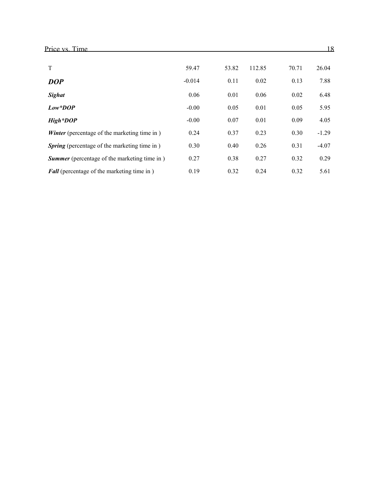| Price vs Time                                       |          |       |        |       | 18      |
|-----------------------------------------------------|----------|-------|--------|-------|---------|
|                                                     |          |       |        |       |         |
| T                                                   | 59.47    | 53.82 | 112.85 | 70.71 | 26.04   |
| <b>DOP</b>                                          | $-0.014$ | 0.11  | 0.02   | 0.13  | 7.88    |
| <b>Sighat</b>                                       | 0.06     | 0.01  | 0.06   | 0.02  | 6.48    |
| $Low*DOP$                                           | $-0.00$  | 0.05  | 0.01   | 0.05  | 5.95    |
| High*DOP                                            | $-0.00$  | 0.07  | 0.01   | 0.09  | 4.05    |
| <b>Winter</b> (percentage of the marketing time in) | 0.24     | 0.37  | 0.23   | 0.30  | $-1.29$ |
| <b>Spring</b> (percentage of the marketing time in) | 0.30     | 0.40  | 0.26   | 0.31  | $-4.07$ |
| <b>Summer</b> (percentage of the marketing time in) | 0.27     | 0.38  | 0.27   | 0.32  | 0.29    |
| <b>Fall</b> (percentage of the marketing time in)   | 0.19     | 0.32  | 0.24   | 0.32  | 5.61    |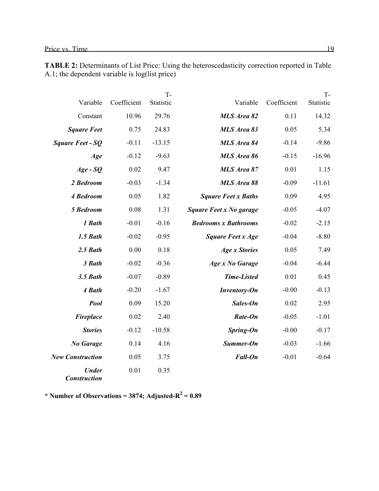| <b>TABLE 2:</b> Determinants of List Price: Using the heteroscedasticity correction reported in Table |  |
|-------------------------------------------------------------------------------------------------------|--|
| A.1; the dependent variable is $log(list\ price)$                                                     |  |

| Variable                                          | Coefficient | $T -$<br>Statistic | Variable                    | Coefficient | $T -$<br>Statistic |
|---------------------------------------------------|-------------|--------------------|-----------------------------|-------------|--------------------|
|                                                   |             |                    |                             |             |                    |
| Constant                                          | 10.96       | 29.76              | MLS Area 82                 | 0.11        | 14.32              |
| <b>Square Feet</b>                                | 0.75        | 24.83              | <b>MLS</b> Area 83          | 0.05        | 5.34               |
| Square Feet - SQ                                  | $-0.11$     | $-13.15$           | MLS Area 84                 | $-0.14$     | $-9.86$            |
| Age                                               | $-0.12$     | $-9.63$            | <b>MLS</b> Area 86          | $-0.15$     | $-16.96$           |
| $Age$ - $SQ$                                      | 0.02        | 9.47               | <b>MLS</b> Area 87          | 0.01        | 1.15               |
| 2 Bedroom                                         | $-0.03$     | $-1.34$            | <b>MLS</b> Area 88          | $-0.09$     | $-11.61$           |
| 4 Bedroom                                         | 0.05        | 1.82               | <b>Square Feet x Baths</b>  | 0.09        | 4.95               |
| <b>5 Bedroom</b>                                  | 0.08        | 1.31               | Square Feet x No garage     | $-0.05$     | $-4.07$            |
| 1 Bath                                            | $-0.01$     | $-0.16$            | <b>Bedrooms x Bathrooms</b> | $-0.02$     | $-2.15$            |
| 1.5 Bath                                          | $-0.02$     | $-0.95$            | <b>Square Feet x Age</b>    | $-0.04$     | $-8.80$            |
| $2.5$ Bath                                        | 0.00        | 0.18               | <b>Age x Stories</b>        | 0.05        | 7.49               |
| 3 Bath                                            | $-0.02$     | $-0.36$            | Age x No Garage             | $-0.04$     | $-6.44$            |
| 3.5 Bath                                          | $-0.07$     | $-0.89$            | <b>Time-Listed</b>          | 0.01        | 0.45               |
| 4 Bath                                            | $-0.20$     | $-1.67$            | <b>Inventory-On</b>         | $-0.00$     | $-0.13$            |
| Pool                                              | 0.09        | 15.20              | Sales-On                    | 0.02        | 2.95               |
| <b>Fireplace</b>                                  | 0.02        | 2.40               | Rate-On                     | $-0.05$     | $-1.01$            |
| <b>Stories</b>                                    | $-0.12$     | $-10.58$           | Spring-On                   | $-0.00$     | $-0.17$            |
| No Garage                                         | 0.14        | 4.16               | Summer-On                   | $-0.03$     | $-1.66$            |
| <b>New Construction</b>                           | 0.05        | 3.75               | Fall-On                     | $-0.01$     | $-0.64$            |
| <b><i><u>Under</u></i></b><br><b>Construction</b> | 0.01        | 0.35               |                             |             |                    |

\* Number of Observations =  $3874$ ; Adjusted- $R^2 = 0.89$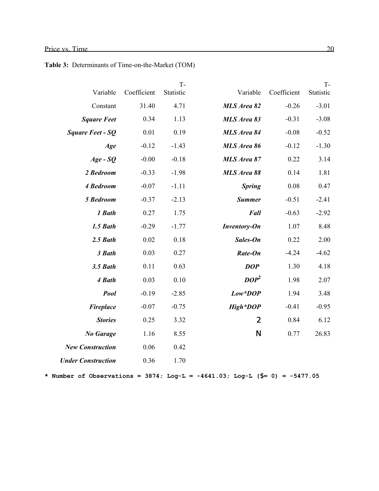|                           |             | $T -$     |                     |             | $T -$     |
|---------------------------|-------------|-----------|---------------------|-------------|-----------|
| Variable                  | Coefficient | Statistic | Variable            | Coefficient | Statistic |
| Constant                  | 31.40       | 4.71      | <b>MLS</b> Area 82  | $-0.26$     | $-3.01$   |
| <b>Square Feet</b>        | 0.34        | 1.13      | <b>MLS</b> Area 83  | $-0.31$     | $-3.08$   |
| <b>Square Feet - SQ</b>   | 0.01        | 0.19      | MLS Area 84         | $-0.08$     | $-0.52$   |
| Age                       | $-0.12$     | $-1.43$   | MLS Area 86         | $-0.12$     | $-1.30$   |
| $Age$ - $SQ$              | $-0.00$     | $-0.18$   | MLS Area 87         | 0.22        | 3.14      |
| 2 Bedroom                 | $-0.33$     | $-1.98$   | <b>MLS</b> Area 88  | 0.14        | 1.81      |
| 4 Bedroom                 | $-0.07$     | $-1.11$   | <b>Spring</b>       | 0.08        | 0.47      |
| <b>5 Bedroom</b>          | $-0.37$     | $-2.13$   | <b>Summer</b>       | $-0.51$     | $-2.41$   |
| 1 Bath                    | 0.27        | 1.75      | Fall                | $-0.63$     | $-2.92$   |
| 1.5 Bath                  | $-0.29$     | $-1.77$   | <b>Inventory-On</b> | 1.07        | 8.48      |
| 2.5 Bath                  | 0.02        | 0.18      | Sales-On            | 0.22        | 2.00      |
| 3 Bath                    | 0.03        | 0.27      | Rate-On             | $-4.24$     | $-4.62$   |
| $3.5$ Bath                | 0.11        | 0.63      | <b>DOP</b>          | 1.30        | 4.18      |
| 4 Bath                    | 0.03        | 0.10      | DOP <sup>2</sup>    | 1.98        | 2.07      |
| Pool                      | $-0.19$     | $-2.85$   | Low*DOP             | 1.94        | 3.48      |
| <b>Fireplace</b>          | $-0.07$     | $-0.75$   | High*DOP            | $-0.41$     | $-0.95$   |
| <b>Stories</b>            | 0.25        | 3.32      | $\overline{2}$      | 0.84        | 6.12      |
| No Garage                 | 1.16        | 8.55      | N                   | 0.77        | 26.83     |
| <b>New Construction</b>   | 0.06        | 0.42      |                     |             |           |
| <b>Under Construction</b> | 0.36        | 1.70      |                     |             |           |

**Table 3:** Determinants of Time-on-the-Market (TOM)

**\* Number of Observations = 3874; Log-L = -4641.03; Log-L (**\$**= 0) = -5477.05**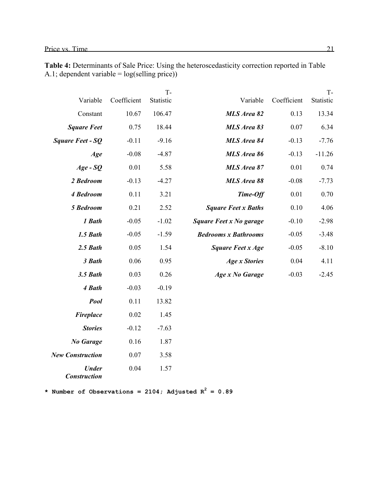|                                                  | <b>Table 4:</b> Determinants of Sale Price: Using the heteroscedasticity correction reported in Table |  |
|--------------------------------------------------|-------------------------------------------------------------------------------------------------------|--|
| A.1; dependent variable = $log(selling price)$ ) |                                                                                                       |  |

|                                     |             | $T -$     |                             |             | $T -$     |
|-------------------------------------|-------------|-----------|-----------------------------|-------------|-----------|
| Variable                            | Coefficient | Statistic | Variable                    | Coefficient | Statistic |
| Constant                            | 10.67       | 106.47    | <b>MLS</b> Area 82          | 0.13        | 13.34     |
| <b>Square Feet</b>                  | 0.75        | 18.44     | MLS Area 83                 | 0.07        | 6.34      |
| <b>Square Feet - SQ</b>             | $-0.11$     | $-9.16$   | <b>MLS</b> Area 84          | $-0.13$     | $-7.76$   |
| Age                                 | $-0.08$     | $-4.87$   | MLS Area 86                 | $-0.13$     | $-11.26$  |
| $Age - SQ$                          | 0.01        | 5.58      | <b>MLS</b> Area 87          | 0.01        | 0.74      |
| 2 Bedroom                           | $-0.13$     | $-4.27$   | <b>MLS</b> Area 88          | $-0.08$     | $-7.73$   |
| 4 Bedroom                           | 0.11        | 3.21      | Time-Off                    | 0.01        | 0.70      |
| 5 Bedroom                           | 0.21        | 2.52      | <b>Square Feet x Baths</b>  | 0.10        | 4.06      |
| 1 Bath                              | $-0.05$     | $-1.02$   | Square Feet x No garage     | $-0.10$     | $-2.98$   |
| 1.5 Bath                            | $-0.05$     | $-1.59$   | <b>Bedrooms x Bathrooms</b> | $-0.05$     | $-3.48$   |
| 2.5 Bath                            | 0.05        | 1.54      | <b>Square Feet x Age</b>    | $-0.05$     | $-8.10$   |
| 3 Bath                              | 0.06        | 0.95      | <b>Age x Stories</b>        | 0.04        | 4.11      |
| $3.5$ Bath                          | 0.03        | 0.26      | <b>Age x No Garage</b>      | $-0.03$     | $-2.45$   |
| 4 Bath                              | $-0.03$     | $-0.19$   |                             |             |           |
| Pool                                | 0.11        | 13.82     |                             |             |           |
| <b>Fireplace</b>                    | 0.02        | 1.45      |                             |             |           |
| <b>Stories</b>                      | $-0.12$     | $-7.63$   |                             |             |           |
| No Garage                           | 0.16        | 1.87      |                             |             |           |
| <b>New Construction</b>             | $0.07\,$    | 3.58      |                             |             |           |
| <b>Under</b><br><b>Construction</b> | 0.04        | 1.57      |                             |             |           |

\* Number of Observations =  $2104$ ; Adjusted  $R^2 = 0.89$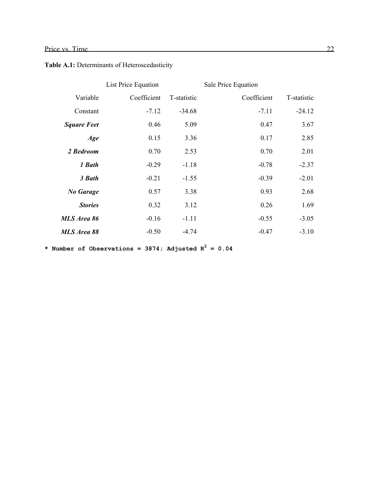|                    | List Price Equation |             | Sale Price Equation |             |
|--------------------|---------------------|-------------|---------------------|-------------|
| Variable           | Coefficient         | T-statistic | Coefficient         | T-statistic |
| Constant           | $-7.12$             | $-34.68$    | $-7.11$             | $-24.12$    |
| <b>Square Feet</b> | 0.46                | 5.09        | 0.47                | 3.67        |
| Age                | 0.15                | 3.36        | 0.17                | 2.85        |
| 2 Bedroom          | 0.70                | 2.53        | 0.70                | 2.01        |
| 1 Bath             | $-0.29$             | $-1.18$     | $-0.78$             | $-2.37$     |
| 3 Bath             | $-0.21$             | $-1.55$     | $-0.39$             | $-2.01$     |
| No Garage          | 0.57                | 3.38        | 0.93                | 2.68        |
| <b>Stories</b>     | 0.32                | 3.12        | 0.26                | 1.69        |
| <b>MLS</b> Area 86 | $-0.16$             | $-1.11$     | $-0.55$             | $-3.05$     |
| <b>MLS</b> Area 88 | $-0.50$             | $-4.74$     | $-0.47$             | $-3.10$     |

# **Table A.1:** Determinants of Heteroscedasticity

\* Number of Observations =  $3874$ ; Adjusted  $R^2 = 0.04$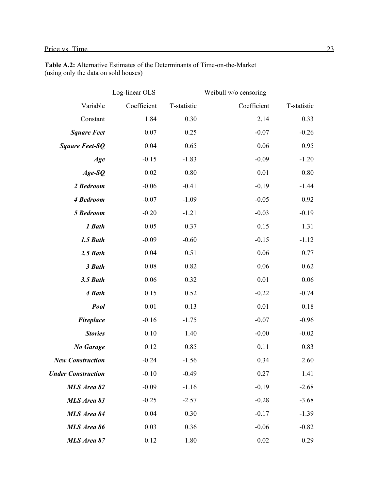|                           | Log-linear OLS |             | Weibull w/o censoring |             |
|---------------------------|----------------|-------------|-----------------------|-------------|
| Variable                  | Coefficient    | T-statistic | Coefficient           | T-statistic |
| Constant                  | 1.84           | 0.30        | 2.14                  | 0.33        |
| <b>Square Feet</b>        | 0.07           | 0.25        | $-0.07$               | $-0.26$     |
| <b>Square Feet-SQ</b>     | 0.04           | 0.65        | $0.06\,$              | 0.95        |
| Age                       | $-0.15$        | $-1.83$     | $-0.09$               | $-1.20$     |
| $Age-SQ$                  | 0.02           | 0.80        | 0.01                  | 0.80        |
| 2 Bedroom                 | $-0.06$        | $-0.41$     | $-0.19$               | $-1.44$     |
| 4 Bedroom                 | $-0.07$        | $-1.09$     | $-0.05$               | 0.92        |
| <b>5 Bedroom</b>          | $-0.20$        | $-1.21$     | $-0.03$               | $-0.19$     |
| 1 Bath                    | 0.05           | 0.37        | 0.15                  | 1.31        |
| 1.5 Bath                  | $-0.09$        | $-0.60$     | $-0.15$               | $-1.12$     |
| 2.5 Bath                  | 0.04           | 0.51        | 0.06                  | 0.77        |
| 3 Bath                    | 0.08           | 0.82        | $0.06\,$              | 0.62        |
| 3.5 Bath                  | 0.06           | 0.32        | 0.01                  | $0.06\,$    |
| 4 Bath                    | 0.15           | 0.52        | $-0.22$               | $-0.74$     |
| <b>Pool</b>               | 0.01           | 0.13        | 0.01                  | 0.18        |
| <b>Fireplace</b>          | $-0.16$        | $-1.75$     | $-0.07$               | $-0.96$     |
| <b>Stories</b>            | 0.10           | 1.40        | $-0.00$               | $-0.02$     |
| No Garage                 | 0.12           | 0.85        | 0.11                  | 0.83        |
| <b>New Construction</b>   | $-0.24$        | $-1.56$     | 0.34                  | 2.60        |
| <b>Under Construction</b> | $-0.10$        | $-0.49$     | 0.27                  | 1.41        |
| <b>MLS</b> Area 82        | $-0.09$        | $-1.16$     | $-0.19$               | $-2.68$     |
| MLS Area 83               | $-0.25$        | $-2.57$     | $-0.28$               | $-3.68$     |
| <b>MLS</b> Area 84        | 0.04           | 0.30        | $-0.17$               | $-1.39$     |
| MLS Area 86               | 0.03           | 0.36        | $-0.06$               | $-0.82$     |
| <b>MLS</b> Area 87        | 0.12           | 1.80        | 0.02                  | 0.29        |

**Table A.2:** Alternative Estimates of the Determinants of Time-on-the-Market (using only the data on sold houses)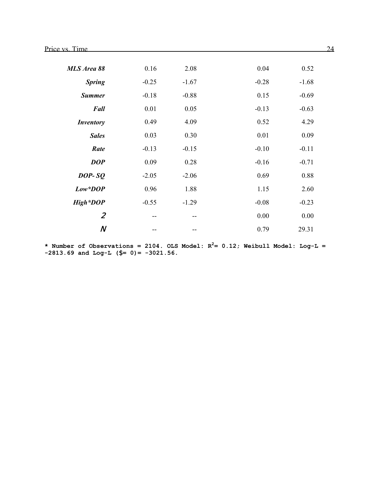| <b>MLS</b> Area 88         | 0.16    | 2.08    | 0.04    | 0.52    |
|----------------------------|---------|---------|---------|---------|
| <b>Spring</b>              | $-0.25$ | $-1.67$ | $-0.28$ | $-1.68$ |
| <b>Summer</b>              | $-0.18$ | $-0.88$ | 0.15    | $-0.69$ |
| Fall                       | 0.01    | 0.05    | $-0.13$ | $-0.63$ |
| <i><b>Inventory</b></i>    | 0.49    | 4.09    | 0.52    | 4.29    |
| <b>Sales</b>               | 0.03    | 0.30    | 0.01    | 0.09    |
| Rate                       | $-0.13$ | $-0.15$ | $-0.10$ | $-0.11$ |
| <b>DOP</b>                 | 0.09    | 0.28    | $-0.16$ | $-0.71$ |
| DOP-SQ                     | $-2.05$ | $-2.06$ | 0.69    | 0.88    |
| Low*DOP                    | 0.96    | 1.88    | 1.15    | 2.60    |
| High*DOP                   | $-0.55$ | $-1.29$ | $-0.08$ | $-0.23$ |
| $\mathcal{Z}$              | --      |         | 0.00    | 0.00    |
| $\boldsymbol{\mathcal{N}}$ |         |         | 0.79    | 29.31   |

**\* Number of Observations = 2104. OLS Model: R<sup>2</sup> = 0.12; Weibull Model: Log-L = -2813.69 and Log-L (**\$**= 0)= -3021.56.**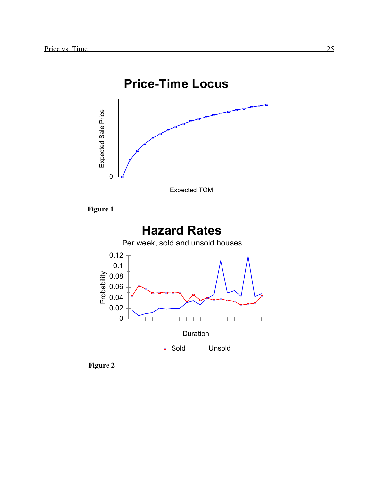





**Figure 2**